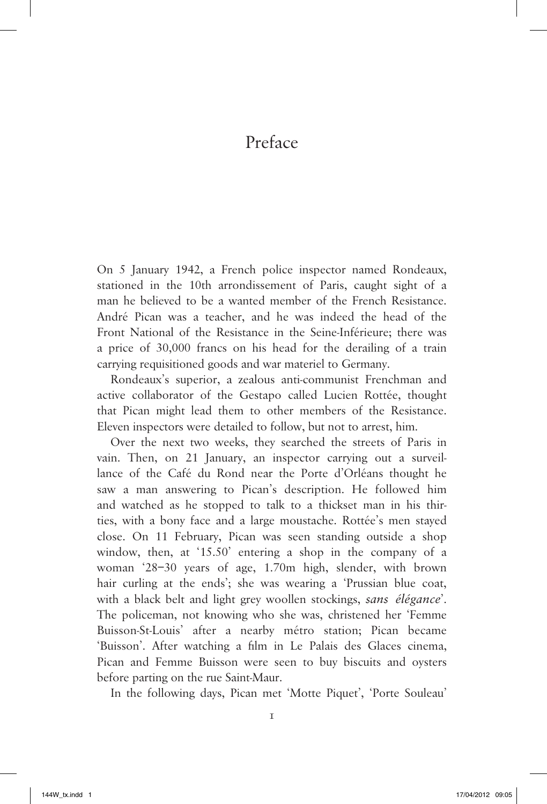## Preface

On 5 January 1942, a French police inspector named Rondeaux, stationed in the 10th arrondissement of Paris, caught sight of a man he believed to be a wanted member of the French Resistance. André Pican was a teacher, and he was indeed the head of the Front National of the Resistance in the Seine-Inférieure; there was a price of 30,000 francs on his head for the derailing of a train carrying requisitioned goods and war materiel to Germany.

Rondeaux's superior, a zealous anti-communist Frenchman and active collaborator of the Gestapo called Lucien Rottée, thought that Pican might lead them to other members of the Resistance. Eleven inspectors were detailed to follow, but not to arrest, him.

Over the next two weeks, they searched the streets of Paris in vain. Then, on 21 January, an inspector carrying out a surveillance of the Café du Rond near the Porte d'Orléans thought he saw a man answering to Pican's description. He followed him and watched as he stopped to talk to a thickset man in his thirties, with a bony face and a large moustache. Rottée's men stayed close. On 11 February, Pican was seen standing outside a shop window, then, at '15.50' entering a shop in the company of a woman '28–30 years of age, 1.70m high, slender, with brown hair curling at the ends'; she was wearing a 'Prussian blue coat, with a black belt and light grey woollen stockings, *sans élégance*'. The policeman, not knowing who she was, christened her 'Femme Buisson-St-Louis' after a nearby métro station; Pican became 'Buisson'. After watching a film in Le Palais des Glaces cinema, Pican and Femme Buisson were seen to buy biscuits and oysters before parting on the rue Saint-Maur.

In the following days, Pican met 'Motte Piquet', 'Porte Souleau'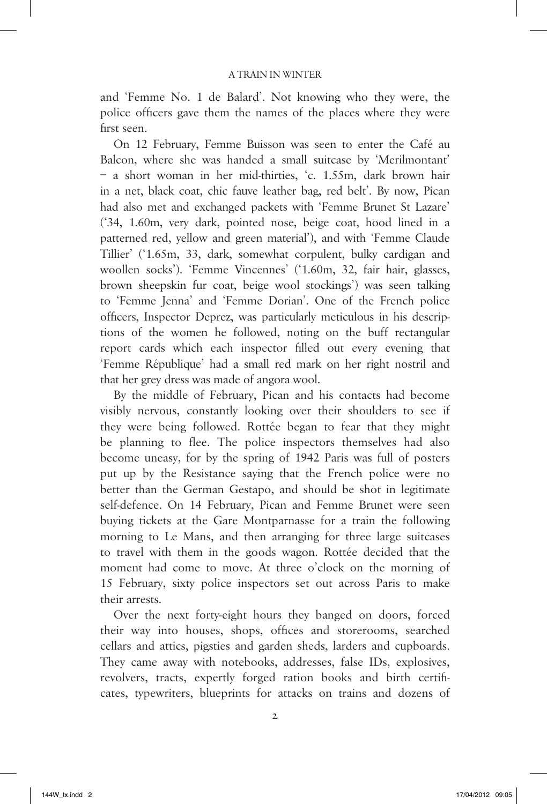and 'Femme No. 1 de Balard'. Not knowing who they were, the police officers gave them the names of the places where they were first seen.

On 12 February, Femme Buisson was seen to enter the Café au Balcon, where she was handed a small suitcase by 'Merilmontant' – a short woman in her mid-thirties, 'c. 1.55m, dark brown hair in a net, black coat, chic fauve leather bag, red belt'. By now, Pican had also met and exchanged packets with 'Femme Brunet St Lazare' ('34, 1.60m, very dark, pointed nose, beige coat, hood lined in a patterned red, yellow and green material'), and with 'Femme Claude Tillier' ('1.65m, 33, dark, somewhat corpulent, bulky cardigan and woollen socks'). 'Femme Vincennes' ('1.60m, 32, fair hair, glasses, brown sheepskin fur coat, beige wool stockings') was seen talking to 'Femme Jenna' and 'Femme Dorian'. One of the French police officers, Inspector Deprez, was particularly meticulous in his descriptions of the women he followed, noting on the buff rectangular report cards which each inspector filled out every evening that 'Femme République' had a small red mark on her right nostril and that her grey dress was made of angora wool.

By the middle of February, Pican and his contacts had become visibly nervous, constantly looking over their shoulders to see if they were being followed. Rottée began to fear that they might be planning to flee. The police inspectors themselves had also become uneasy, for by the spring of 1942 Paris was full of posters put up by the Resistance saying that the French police were no better than the German Gestapo, and should be shot in legitimate self-defence. On 14 February, Pican and Femme Brunet were seen buying tickets at the Gare Montparnasse for a train the following morning to Le Mans, and then arranging for three large suitcases to travel with them in the goods wagon. Rottée decided that the moment had come to move. At three o'clock on the morning of 15 February, sixty police inspectors set out across Paris to make their arrests.

Over the next forty-eight hours they banged on doors, forced their way into houses, shops, offices and storerooms, searched cellars and attics, pigsties and garden sheds, larders and cupboards. They came away with notebooks, addresses, false IDs, explosives, revolvers, tracts, expertly forged ration books and birth certificates, typewriters, blueprints for attacks on trains and dozens of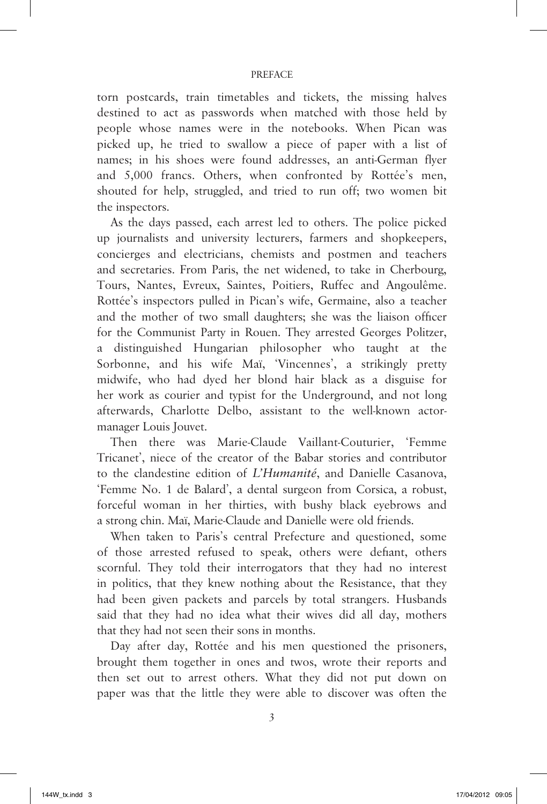## PREFACE

torn postcards, train timetables and tickets, the missing halves destined to act as passwords when matched with those held by people whose names were in the notebooks. When Pican was picked up, he tried to swallow a piece of paper with a list of names; in his shoes were found addresses, an anti-German flyer and 5,000 francs. Others, when confronted by Rottée's men, shouted for help, struggled, and tried to run off; two women bit the inspectors.

As the days passed, each arrest led to others. The police picked up journalists and university lecturers, farmers and shopkeepers, concierges and electricians, chemists and postmen and teachers and secretaries. From Paris, the net widened, to take in Cherbourg, Tours, Nantes, Evreux, Saintes, Poitiers, Ruffec and Angoulême. Rottée's inspectors pulled in Pican's wife, Germaine, also a teacher and the mother of two small daughters; she was the liaison officer for the Communist Party in Rouen. They arrested Georges Politzer, a distinguished Hungarian philosopher who taught at the Sorbonne, and his wife Maï, 'Vincennes', a strikingly pretty midwife, who had dyed her blond hair black as a disguise for her work as courier and typist for the Underground, and not long afterwards, Charlotte Delbo, assistant to the well-known actormanager Louis Jouvet.

Then there was Marie-Claude Vaillant-Couturier, 'Femme Tricanet', niece of the creator of the Babar stories and contributor to the clandestine edition of *L'Humanité*, and Danielle Casanova, 'Femme No. 1 de Balard', a dental surgeon from Corsica, a robust, forceful woman in her thirties, with bushy black eyebrows and a strong chin. Maï, Marie-Claude and Danielle were old friends.

When taken to Paris's central Prefecture and questioned, some of those arrested refused to speak, others were defiant, others scornful. They told their interrogators that they had no interest in politics, that they knew nothing about the Resistance, that they had been given packets and parcels by total strangers. Husbands said that they had no idea what their wives did all day, mothers that they had not seen their sons in months.

Day after day, Rottée and his men questioned the prisoners, brought them together in ones and twos, wrote their reports and then set out to arrest others. What they did not put down on paper was that the little they were able to discover was often the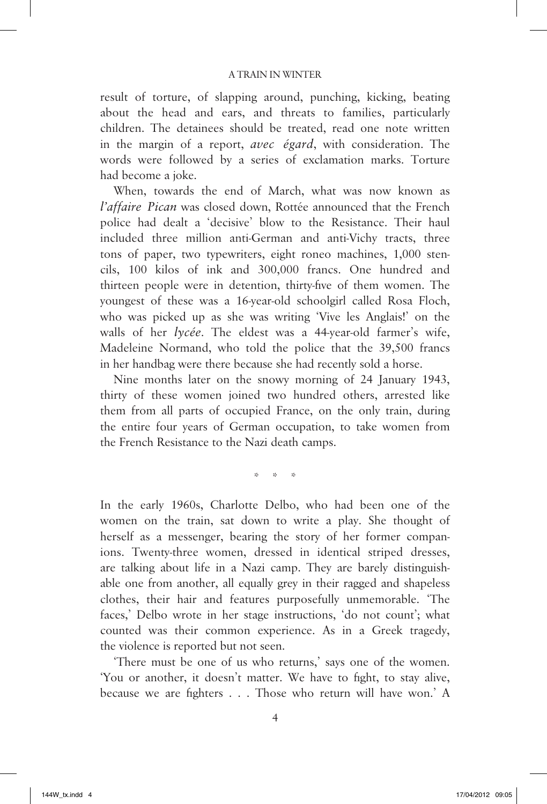result of torture, of slapping around, punching, kicking, beating about the head and ears, and threats to families, particularly children. The detainees should be treated, read one note written in the margin of a report, *avec égard*, with consideration. The words were followed by a series of exclamation marks. Torture had become a joke.

When, towards the end of March, what was now known as *l'affaire Pican* was closed down, Rottée announced that the French police had dealt a 'decisive' blow to the Resistance. Their haul included three million anti-German and anti-Vichy tracts, three tons of paper, two typewriters, eight roneo machines, 1,000 stencils, 100 kilos of ink and 300,000 francs. One hundred and thirteen people were in detention, thirty-five of them women. The youngest of these was a 16-year-old schoolgirl called Rosa Floch, who was picked up as she was writing 'Vive les Anglais!' on the walls of her *lycée*. The eldest was a 44-year-old farmer's wife, Madeleine Normand, who told the police that the 39,500 francs in her handbag were there because she had recently sold a horse.

Nine months later on the snowy morning of 24 January 1943, thirty of these women joined two hundred others, arrested like them from all parts of occupied France, on the only train, during the entire four years of German occupation, to take women from the French Resistance to the Nazi death camps.

\* \* \*

In the early 1960s, Charlotte Delbo, who had been one of the women on the train, sat down to write a play. She thought of herself as a messenger, bearing the story of her former companions. Twenty-three women, dressed in identical striped dresses, are talking about life in a Nazi camp. They are barely distinguishable one from another, all equally grey in their ragged and shapeless clothes, their hair and features purposefully unmemorable. 'The faces,' Delbo wrote in her stage instructions, 'do not count'; what counted was their common experience. As in a Greek tragedy, the violence is reported but not seen.

'There must be one of us who returns,' says one of the women. 'You or another, it doesn't matter. We have to fight, to stay alive, because we are fighters . . . Those who return will have won.' A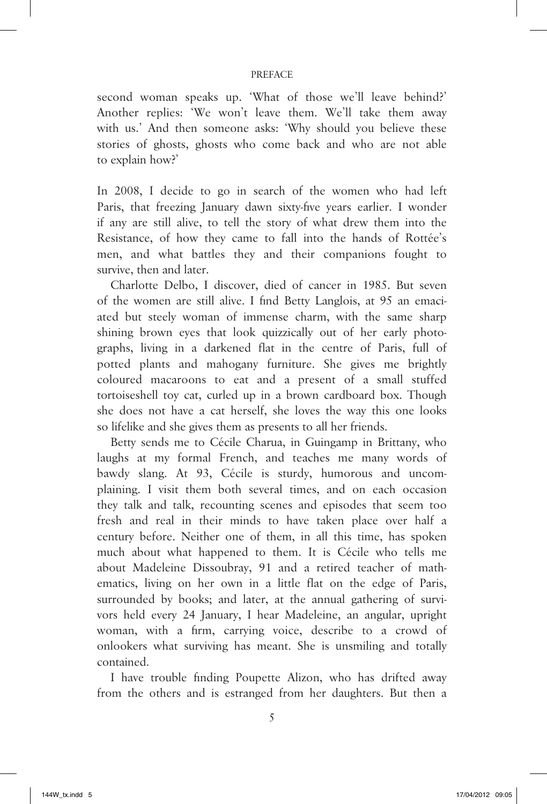## PREFACE

second woman speaks up. 'What of those we'll leave behind?' Another replies: 'We won't leave them. We'll take them away with us.' And then someone asks: 'Why should you believe these stories of ghosts, ghosts who come back and who are not able to explain how?'

In 2008, I decide to go in search of the women who had left Paris, that freezing January dawn sixty-five years earlier. I wonder if any are still alive, to tell the story of what drew them into the Resistance, of how they came to fall into the hands of Rottée's men, and what battles they and their companions fought to survive, then and later.

Charlotte Delbo, I discover, died of cancer in 1985. But seven of the women are still alive. I find Betty Langlois, at 95 an emaciated but steely woman of immense charm, with the same sharp shining brown eyes that look quizzically out of her early photographs, living in a darkened flat in the centre of Paris, full of potted plants and mahogany furniture. She gives me brightly coloured macaroons to eat and a present of a small stuffed tortoiseshell toy cat, curled up in a brown cardboard box. Though she does not have a cat herself, she loves the way this one looks so lifelike and she gives them as presents to all her friends.

Betty sends me to Cécile Charua, in Guingamp in Brittany, who laughs at my formal French, and teaches me many words of bawdy slang. At 93, Cécile is sturdy, humorous and uncomplaining. I visit them both several times, and on each occasion they talk and talk, recounting scenes and episodes that seem too fresh and real in their minds to have taken place over half a century before. Neither one of them, in all this time, has spoken much about what happened to them. It is Cécile who tells me about Madeleine Dissoubray, 91 and a retired teacher of mathematics, living on her own in a little flat on the edge of Paris, surrounded by books; and later, at the annual gathering of survivors held every 24 January, I hear Madeleine, an angular, upright woman, with a firm, carrying voice, describe to a crowd of onlookers what surviving has meant. She is unsmiling and totally contained.

I have trouble finding Poupette Alizon, who has drifted away from the others and is estranged from her daughters. But then a